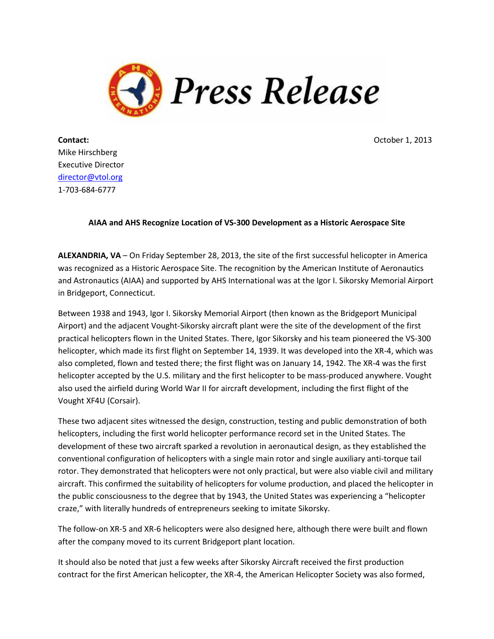

**Contact: Contact: October 1, 2013** Mike Hirschberg Executive Director [director@vtol.org](mailto:director@vtol.org) 1-703-684-6777

## **AIAA and AHS Recognize Location of VS-300 Development as a Historic Aerospace Site**

**ALEXANDRIA, VA** – On Friday September 28, 2013, the site of the first successful helicopter in America was recognized as a Historic Aerospace Site. The recognition by the American Institute of Aeronautics and Astronautics (AIAA) and supported by AHS International was at the Igor I. Sikorsky Memorial Airport in Bridgeport, Connecticut.

Between 1938 and 1943, Igor I. Sikorsky Memorial Airport (then known as the Bridgeport Municipal Airport) and the adjacent Vought-Sikorsky aircraft plant were the site of the development of the first practical helicopters flown in the United States. There, Igor Sikorsky and his team pioneered the VS-300 helicopter, which made its first flight on September 14, 1939. It was developed into the XR-4, which was also completed, flown and tested there; the first flight was on January 14, 1942. The XR-4 was the first helicopter accepted by the U.S. military and the first helicopter to be mass-produced anywhere. Vought also used the airfield during World War II for aircraft development, including the first flight of the Vought XF4U (Corsair).

These two adjacent sites witnessed the design, construction, testing and public demonstration of both helicopters, including the first world helicopter performance record set in the United States. The development of these two aircraft sparked a revolution in aeronautical design, as they established the conventional configuration of helicopters with a single main rotor and single auxiliary anti-torque tail rotor. They demonstrated that helicopters were not only practical, but were also viable civil and military aircraft. This confirmed the suitability of helicopters for volume production, and placed the helicopter in the public consciousness to the degree that by 1943, the United States was experiencing a "helicopter craze," with literally hundreds of entrepreneurs seeking to imitate Sikorsky.

The follow-on XR-5 and XR-6 helicopters were also designed here, although there were built and flown after the company moved to its current Bridgeport plant location.

It should also be noted that just a few weeks after Sikorsky Aircraft received the first production contract for the first American helicopter, the XR-4, the American Helicopter Society was also formed,